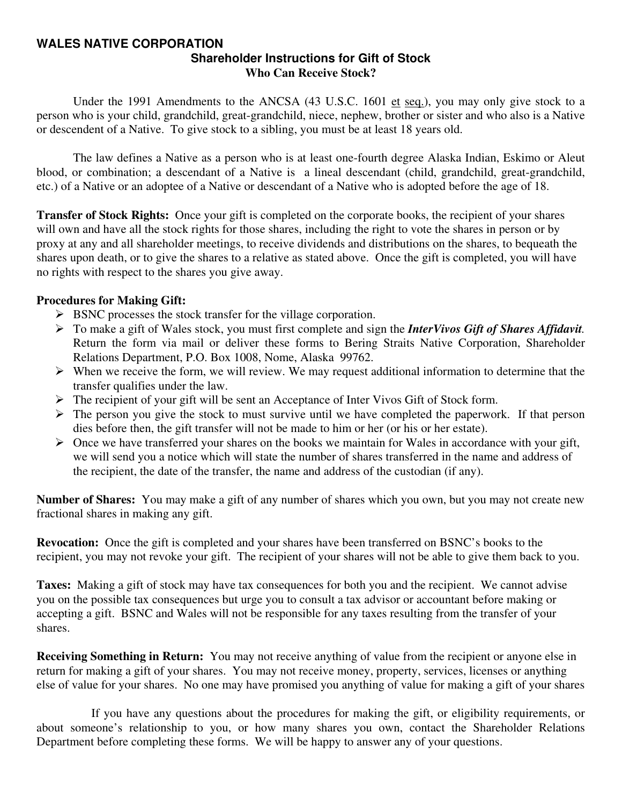#### **WALES NATIVE CORPORATION Shareholder Instructions for Gift of Stock Who Can Receive Stock?**

Under the 1991 Amendments to the ANCSA (43 U.S.C. 1601 et seq.), you may only give stock to a person who is your child, grandchild, great-grandchild, niece, nephew, brother or sister and who also is a Native or descendent of a Native. To give stock to a sibling, you must be at least 18 years old.

 The law defines a Native as a person who is at least one-fourth degree Alaska Indian, Eskimo or Aleut blood, or combination; a descendant of a Native is a lineal descendant (child, grandchild, great-grandchild, etc.) of a Native or an adoptee of a Native or descendant of a Native who is adopted before the age of 18.

**Transfer of Stock Rights:** Once your gift is completed on the corporate books, the recipient of your shares will own and have all the stock rights for those shares, including the right to vote the shares in person or by proxy at any and all shareholder meetings, to receive dividends and distributions on the shares, to bequeath the shares upon death, or to give the shares to a relative as stated above. Once the gift is completed, you will have no rights with respect to the shares you give away.

#### **Procedures for Making Gift:**

- $\triangleright$  BSNC processes the stock transfer for the village corporation.
- ¾ To make a gift of Wales stock, you must first complete and sign the *InterVivos Gift of Shares Affidavit.* Return the form via mail or deliver these forms to Bering Straits Native Corporation, Shareholder Relations Department, P.O. Box 1008, Nome, Alaska 99762.
- $\triangleright$  When we receive the form, we will review. We may request additional information to determine that the transfer qualifies under the law.
- ¾ The recipient of your gift will be sent an Acceptance of Inter Vivos Gift of Stock form.
- $\triangleright$  The person you give the stock to must survive until we have completed the paperwork. If that person dies before then, the gift transfer will not be made to him or her (or his or her estate).
- $\triangleright$  Once we have transferred your shares on the books we maintain for Wales in accordance with your gift, we will send you a notice which will state the number of shares transferred in the name and address of the recipient, the date of the transfer, the name and address of the custodian (if any).

**Number of Shares:** You may make a gift of any number of shares which you own, but you may not create new fractional shares in making any gift.

**Revocation:** Once the gift is completed and your shares have been transferred on BSNC's books to the recipient, you may not revoke your gift. The recipient of your shares will not be able to give them back to you.

**Taxes:** Making a gift of stock may have tax consequences for both you and the recipient. We cannot advise you on the possible tax consequences but urge you to consult a tax advisor or accountant before making or accepting a gift. BSNC and Wales will not be responsible for any taxes resulting from the transfer of your shares.

**Receiving Something in Return:** You may not receive anything of value from the recipient or anyone else in return for making a gift of your shares. You may not receive money, property, services, licenses or anything else of value for your shares. No one may have promised you anything of value for making a gift of your shares

 If you have any questions about the procedures for making the gift, or eligibility requirements, or about someone's relationship to you, or how many shares you own, contact the Shareholder Relations Department before completing these forms. We will be happy to answer any of your questions.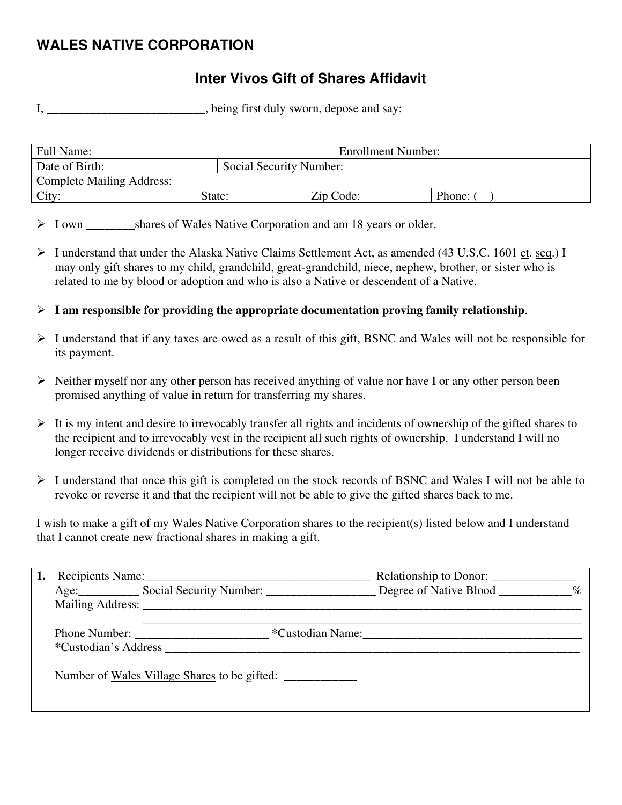# **WALES NATIVE CORPORATION**

## **Inter Vivos Gift of Shares Affidavit**

I, \_\_\_\_\_\_\_\_\_\_\_\_\_\_\_\_\_\_\_\_\_\_, being first duly sworn, depose and say:

| Full Name:                       |                         | <b>Enrollment Number:</b> |        |
|----------------------------------|-------------------------|---------------------------|--------|
| Date of Birth:                   | Social Security Number: |                           |        |
| <b>Complete Mailing Address:</b> |                         |                           |        |
| City:                            | State:                  | Zip Code:                 | Phone: |

> I own shares of Wales Native Corporation and am 18 years or older.

- ¾ I understand that under the Alaska Native Claims Settlement Act, as amended (43 U.S.C. 1601 et. seq.) I may only gift shares to my child, grandchild, great-grandchild, niece, nephew, brother, or sister who is related to me by blood or adoption and who is also a Native or descendent of a Native.
- $\triangleright$  **I** am responsible for providing the appropriate documentation proving family relationship.
- ¾ I understand that if any taxes are owed as a result of this gift, BSNC and Wales will not be responsible for its payment.
- $\triangleright$  Neither myself nor any other person has received anything of value nor have I or any other person been promised anything of value in return for transferring my shares.
- $\triangleright$  It is my intent and desire to irrevocably transfer all rights and incidents of ownership of the gifted shares to the recipient and to irrevocably vest in the recipient all such rights of ownership. I understand I will no longer receive dividends or distributions for these shares.
- ¾ I understand that once this gift is completed on the stock records of BSNC and Wales I will not be able to revoke or reverse it and that the recipient will not be able to give the gifted shares back to me.

I wish to make a gift of my Wales Native Corporation shares to the recipient(s) listed below and I understand that I cannot create new fractional shares in making a gift.

|  |                                                          | Relationship to Donor: |  |
|--|----------------------------------------------------------|------------------------|--|
|  | Age: Social Security Number: Degree of Native Blood 1997 |                        |  |
|  |                                                          |                        |  |
|  |                                                          |                        |  |
|  | Phone Number: New York Custodian Name:                   |                        |  |
|  | *Custodian's Address <b>matrices</b>                     |                        |  |
|  | Number of <u>Wales Village Shares</u> to be gifted:      |                        |  |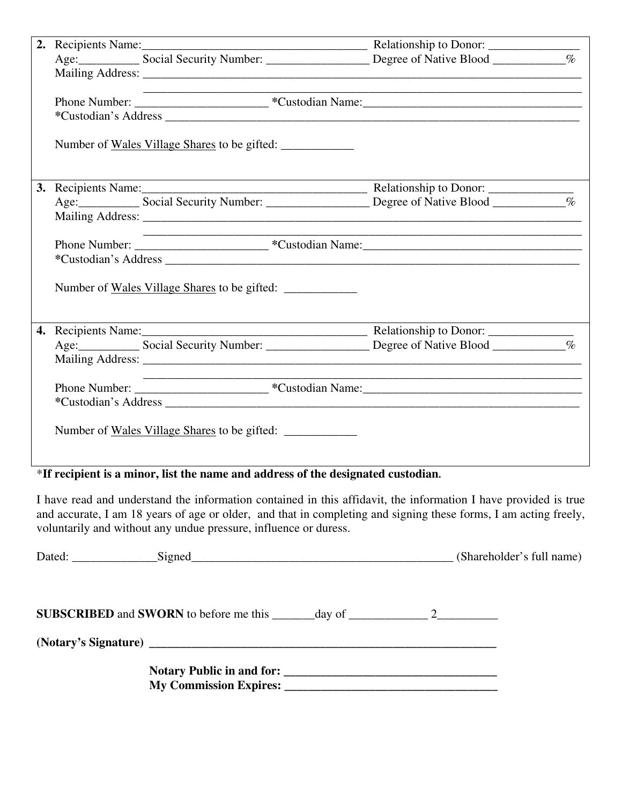|  | the control of the control of the control of the control of the control of |  |
|--|----------------------------------------------------------------------------|--|
|  |                                                                            |  |
|  |                                                                            |  |
|  | Number of <u>Wales Village Shares</u> to be gifted:                        |  |
|  |                                                                            |  |
|  |                                                                            |  |
|  |                                                                            |  |
|  |                                                                            |  |
|  |                                                                            |  |
|  |                                                                            |  |
|  | Number of <u>Wales Village Shares</u> to be gifted:                        |  |
|  |                                                                            |  |
|  |                                                                            |  |
|  |                                                                            |  |
|  |                                                                            |  |
|  |                                                                            |  |
|  |                                                                            |  |
|  | Number of <u>Wales Village Shares</u> to be gifted:                        |  |

## \***If recipient is a minor, list the name and address of the designated custodian.**

I have read and understand the information contained in this affidavit, the information I have provided is true and accurate, I am 18 years of age or older, and that in completing and signing these forms, I am acting freely, voluntarily and without any undue pressure, influence or duress.

| Dated: Signed Signed Signed Signed Signed States and the Signed States of the Signed States and States and States and States and States and States and States and States and States and States and States and States and State |  | (Shareholder's full name) |
|--------------------------------------------------------------------------------------------------------------------------------------------------------------------------------------------------------------------------------|--|---------------------------|
|                                                                                                                                                                                                                                |  |                           |
|                                                                                                                                                                                                                                |  |                           |
|                                                                                                                                                                                                                                |  |                           |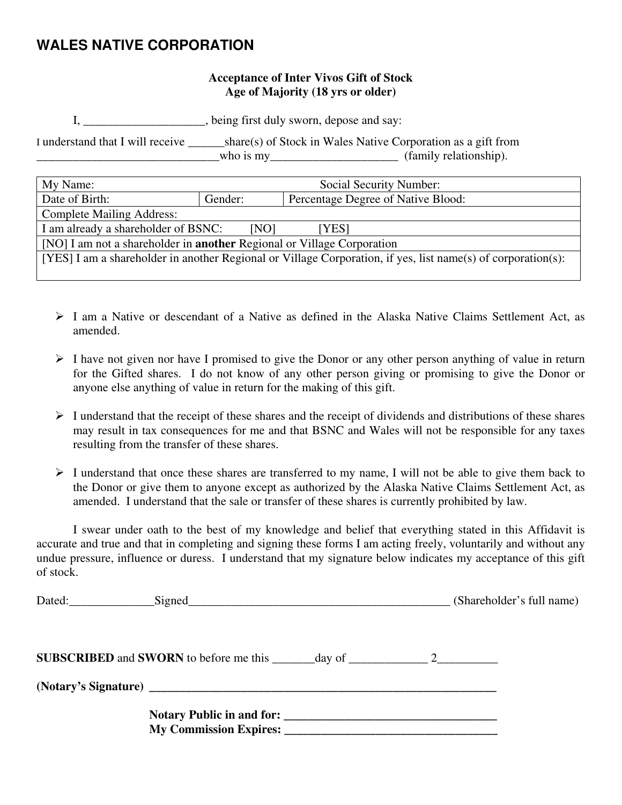## **WALES NATIVE CORPORATION**

#### **Acceptance of Inter Vivos Gift of Stock Age of Majority (18 yrs or older)**

I, \_\_\_\_\_\_\_\_\_\_\_\_\_\_\_\_\_\_\_\_, being first duly sworn, depose and say:

I understand that I will receive \_\_\_\_\_\_share(s) of Stock in Wales Native Corporation as a gift from who is my\_\_\_\_\_\_\_\_\_\_\_\_\_\_\_\_\_\_\_\_\_\_\_\_\_\_ (family relationship).

| My Name:                                                                                                     | Social Security Number:                       |  |  |
|--------------------------------------------------------------------------------------------------------------|-----------------------------------------------|--|--|
| Date of Birth:                                                                                               | Percentage Degree of Native Blood:<br>Gender: |  |  |
| <b>Complete Mailing Address:</b>                                                                             |                                               |  |  |
| I am already a shareholder of BSNC:<br>[NO]<br>[YES]                                                         |                                               |  |  |
| [NO] I am not a shareholder in <b>another</b> Regional or Village Corporation                                |                                               |  |  |
| [YES] I am a shareholder in another Regional or Village Corporation, if yes, list name(s) of corporation(s): |                                               |  |  |
|                                                                                                              |                                               |  |  |

- $\triangleright$  I am a Native or descendant of a Native as defined in the Alaska Native Claims Settlement Act, as amended.
- $\triangleright$  I have not given nor have I promised to give the Donor or any other person anything of value in return for the Gifted shares. I do not know of any other person giving or promising to give the Donor or anyone else anything of value in return for the making of this gift.
- $\triangleright$  I understand that the receipt of these shares and the receipt of dividends and distributions of these shares may result in tax consequences for me and that BSNC and Wales will not be responsible for any taxes resulting from the transfer of these shares.
- $\triangleright$  I understand that once these shares are transferred to my name, I will not be able to give them back to the Donor or give them to anyone except as authorized by the Alaska Native Claims Settlement Act, as amended. I understand that the sale or transfer of these shares is currently prohibited by law.

 I swear under oath to the best of my knowledge and belief that everything stated in this Affidavit is accurate and true and that in completing and signing these forms I am acting freely, voluntarily and without any undue pressure, influence or duress. I understand that my signature below indicates my acceptance of this gift of stock.

|  | (Shareholder's full name) |
|--|---------------------------|
|  |                           |
|  |                           |
|  |                           |